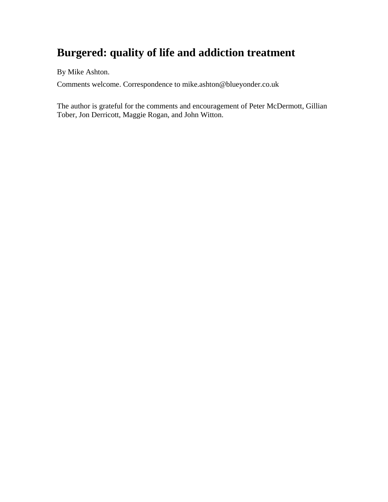# **Burgered: quality of life and addiction treatment**

By Mike Ashton.

Comments welcome. Correspondence to mike.ashton@blueyonder.co.uk

The author is grateful for the comments and encouragement of Peter McDermott, Gillian Tober, Jon Derricott, Maggie Rogan, and John Witton.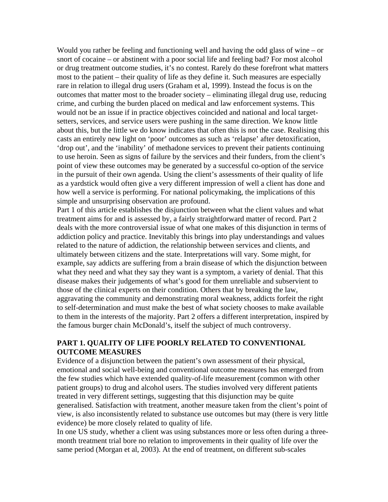Would you rather be feeling and functioning well and having the odd glass of wine – or snort of cocaine – or abstinent with a poor social life and feeling bad? For most alcohol or drug treatment outcome studies, it's no contest. Rarely do these forefront what matters most to the patient – their quality of life as they define it. Such measures are especially rare in relation to illegal drug users (Graham et al, 1999). Instead the focus is on the outcomes that matter most to the broader society – eliminating illegal drug use, reducing crime, and curbing the burden placed on medical and law enforcement systems. This would not be an issue if in practice objectives coincided and national and local targetsetters, services, and service users were pushing in the same direction. We know little about this, but the little we do know indicates that often this is not the case. Realising this casts an entirely new light on 'poor' outcomes as such as 'relapse' after detoxification, 'drop out', and the 'inability' of methadone services to prevent their patients continuing to use heroin. Seen as signs of failure by the services and their funders, from the client's point of view these outcomes may be generated by a successful co-option of the service in the pursuit of their own agenda. Using the client's assessments of their quality of life as a yardstick would often give a very different impression of well a client has done and how well a service is performing. For national policymaking, the implications of this simple and unsurprising observation are profound.

Part 1 of this article establishes the disjunction between what the client values and what treatment aims for and is assessed by, a fairly straightforward matter of record. Part 2 deals with the more controversial issue of what one makes of this disjunction in terms of addiction policy and practice. Inevitably this brings into play understandings and values related to the nature of addiction, the relationship between services and clients, and ultimately between citizens and the state. Interpretations will vary. Some might, for example, say addicts are suffering from a brain disease of which the disjunction between what they need and what they say they want is a symptom, a variety of denial. That this disease makes their judgements of what's good for them unreliable and subservient to those of the clinical experts on their condition. Others that by breaking the law, aggravating the community and demonstrating moral weakness, addicts forfeit the right to self-determination and must make the best of what society chooses to make available to them in the interests of the majority. Part 2 offers a different interpretation, inspired by the famous burger chain McDonald's, itself the subject of much controversy.

# **PART 1. QUALITY OF LIFE POORLY RELATED TO CONVENTIONAL OUTCOME MEASURES**

Evidence of a disjunction between the patient's own assessment of their physical, emotional and social well-being and conventional outcome measures has emerged from the few studies which have extended quality-of-life measurement (common with other patient groups) to drug and alcohol users. The studies involved very different patients treated in very different settings, suggesting that this disjunction may be quite generalised. Satisfaction with treatment, another measure taken from the client's point of view, is also inconsistently related to substance use outcomes but may (there is very little evidence) be more closely related to quality of life.

In one US study, whether a client was using substances more or less often during a threemonth treatment trial bore no relation to improvements in their quality of life over the same period (Morgan et al, 2003). At the end of treatment, on different sub-scales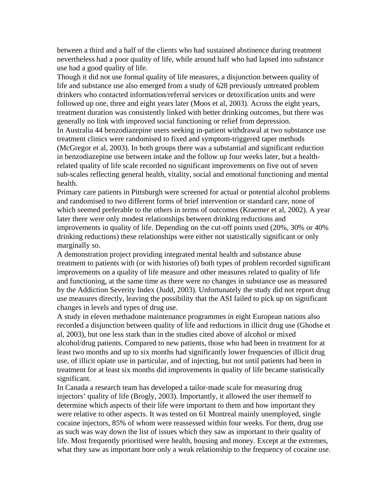between a third and a half of the clients who had sustained abstinence during treatment nevertheless had a poor quality of life, while around half who had lapsed into substance use had a good quality of life.

Though it did not use formal quality of life measures, a disjunction between quality of life and substance use also emerged from a study of 628 previously untreated problem drinkers who contacted information/referral services or detoxification units and were followed up one, three and eight years later (Moos et al, 2003). Across the eight years, treatment duration was consistently linked with better drinking outcomes, but there was generally no link with improved social functioning or relief from depression.

In Australia 44 benzodiazepine users seeking in-patient withdrawal at two substance use treatment clinics were randomised to fixed and symptom-triggered taper methods (McGregor et al, 2003). In both groups there was a substantial and significant reduction in benzodiazepine use between intake and the follow up four weeks later, but a healthrelated quality of life scale recorded no significant improvements on five out of seven sub-scales reflecting general health, vitality, social and emotional functioning and mental health.

Primary care patients in Pittsburgh were screened for actual or potential alcohol problems and randomised to two different forms of brief intervention or standard care, none of which seemed preferable to the others in terms of outcomes (Kraemer et al, 2002). A year later there were only modest relationships between drinking reductions and improvements in quality of life. Depending on the cut-off points used (20%, 30% or 40% drinking reductions) these relationships were either not statistically significant or only marginally so.

A demonstration project providing integrated mental health and substance abuse treatment to patients with (or with histories of) both types of problem recorded significant improvements on a quality of life measure and other measures related to quality of life and functioning, at the same time as there were no changes in substance use as measured by the Addiction Severity Index (Judd, 2003). Unfortunately the study did not report drug use measures directly, leaving the possibility that the ASI failed to pick up on significant changes in levels and types of drug use.

A study in eleven methadone maintenance programmes in eight European nations also recorded a disjunction between quality of life and reductions in illicit drug use (Ghodse et al, 2003), but one less stark than in the studies cited above of alcohol or mixed alcohol/drug patients. Compared to new patients, those who had been in treatment for at least two months and up to six months had significantly lower frequencies of illicit drug use, of illicit opiate use in particular, and of injecting, but not until patients had been in treatment for at least six months did improvements in quality of life became statistically significant.

In Canada a research team has developed a tailor-made scale for measuring drug injectors' quality of life (Brogly, 2003). Importantly, it allowed the user themself to determine which aspects of their life were important to them and how important they were relative to other aspects. It was tested on 61 Montreal mainly unemployed, single cocaine injectors, 85% of whom were reassessed within four weeks. For them, drug use as such was way down the list of issues which they saw as important to their quality of life. Most frequently prioritised were health, housing and money. Except at the extremes, what they saw as important bore only a weak relationship to the frequency of cocaine use.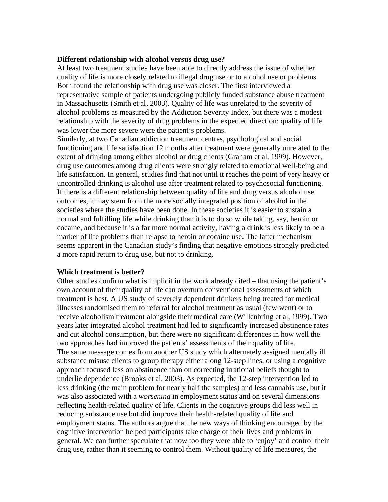# **Different relationship with alcohol versus drug use?**

At least two treatment studies have been able to directly address the issue of whether quality of life is more closely related to illegal drug use or to alcohol use or problems. Both found the relationship with drug use was closer. The first interviewed a representative sample of patients undergoing publicly funded substance abuse treatment in Massachusetts (Smith et al, 2003). Quality of life was unrelated to the severity of alcohol problems as measured by the Addiction Severity Index, but there was a modest relationship with the severity of drug problems in the expected direction: quality of life was lower the more severe were the patient's problems.

Similarly, at two Canadian addiction treatment centres, psychological and social functioning and life satisfaction 12 months after treatment were generally unrelated to the extent of drinking among either alcohol or drug clients (Graham et al, 1999). However, drug use outcomes among drug clients were strongly related to emotional well-being and life satisfaction. In general, studies find that not until it reaches the point of very heavy or uncontrolled drinking is alcohol use after treatment related to psychosocial functioning. If there is a different relationship between quality of life and drug versus alcohol use outcomes, it may stem from the more socially integrated position of alcohol in the societies where the studies have been done. In these societies it is easier to sustain a normal and fulfilling life while drinking than it is to do so while taking, say, heroin or cocaine, and because it is a far more normal activity, having a drink is less likely to be a marker of life problems than relapse to heroin or cocaine use. The latter mechanism seems apparent in the Canadian study's finding that negative emotions strongly predicted a more rapid return to drug use, but not to drinking.

## **Which treatment is better?**

Other studies confirm what is implicit in the work already cited – that using the patient's own account of their quality of life can overturn conventional assessments of which treatment is best. A US study of severely dependent drinkers being treated for medical illnesses randomised them to referral for alcohol treatment as usual (few went) or to receive alcoholism treatment alongside their medical care (Willenbring et al, 1999). Two years later integrated alcohol treatment had led to significantly increased abstinence rates and cut alcohol consumption, but there were no significant differences in how well the two approaches had improved the patients' assessments of their quality of life. The same message comes from another US study which alternately assigned mentally ill substance misuse clients to group therapy either along 12-step lines, or using a cognitive approach focused less on abstinence than on correcting irrational beliefs thought to underlie dependence (Brooks et al, 2003). As expected, the 12-step intervention led to less drinking (the main problem for nearly half the samples) and less cannabis use, but it was also associated with a *worsening* in employment status and on several dimensions reflecting health-related quality of life. Clients in the cognitive groups did less well in reducing substance use but did improve their health-related quality of life and employment status. The authors argue that the new ways of thinking encouraged by the cognitive intervention helped participants take charge of their lives and problems in general. We can further speculate that now too they were able to 'enjoy' and control their drug use, rather than it seeming to control them. Without quality of life measures, the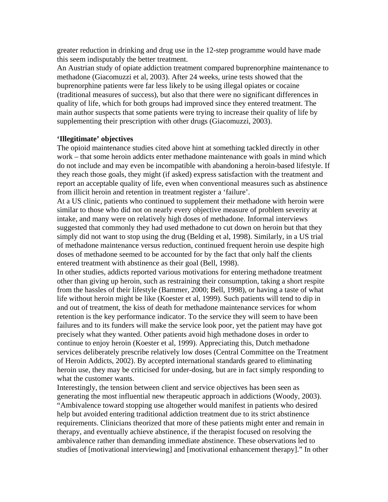greater reduction in drinking and drug use in the 12-step programme would have made this seem indisputably the better treatment.

An Austrian study of opiate addiction treatment compared buprenorphine maintenance to methadone (Giacomuzzi et al, 2003). After 24 weeks, urine tests showed that the buprenorphine patients were far less likely to be using illegal opiates or cocaine (traditional measures of success), but also that there were no significant differences in quality of life, which for both groups had improved since they entered treatment. The main author suspects that some patients were trying to increase their quality of life by supplementing their prescription with other drugs (Giacomuzzi, 2003).

#### **'Illegitimate' objectives**

The opioid maintenance studies cited above hint at something tackled directly in other work – that some heroin addicts enter methadone maintenance with goals in mind which do not include and may even be incompatible with abandoning a heroin-based lifestyle. If they reach those goals, they might (if asked) express satisfaction with the treatment and report an acceptable quality of life, even when conventional measures such as abstinence from illicit heroin and retention in treatment register a 'failure'.

At a US clinic, patients who continued to supplement their methadone with heroin were similar to those who did not on nearly every objective measure of problem severity at intake, and many were on relatively high doses of methadone. Informal interviews suggested that commonly they had used methadone to cut down on heroin but that they simply did not want to stop using the drug (Belding et al, 1998). Similarly, in a US trial of methadone maintenance versus reduction, continued frequent heroin use despite high doses of methadone seemed to be accounted for by the fact that only half the clients entered treatment with abstinence as their goal (Bell, 1998).

In other studies, addicts reported various motivations for entering methadone treatment other than giving up heroin, such as restraining their consumption, taking a short respite from the hassles of their lifestyle (Bammer, 2000; Bell, 1998), or having a taste of what life without heroin might be like (Koester et al, 1999). Such patients will tend to dip in and out of treatment, the kiss of death for methadone maintenance services for whom retention is the key performance indicator. To the service they will seem to have been failures and to its funders will make the service look poor, yet the patient may have got precisely what they wanted. Other patients avoid high methadone doses in order to continue to enjoy heroin (Koester et al, 1999). Appreciating this, Dutch methadone services deliberately prescribe relatively low doses (Central Committee on the Treatment of Heroin Addicts, 2002). By accepted international standards geared to eliminating heroin use, they may be criticised for under-dosing, but are in fact simply responding to what the customer wants.

Interestingly, the tension between client and service objectives has been seen as generating the most influential new therapeutic approach in addictions (Woody, 2003). "Ambivalence toward stopping use altogether would manifest in patients who desired help but avoided entering traditional addiction treatment due to its strict abstinence requirements. Clinicians theorized that more of these patients might enter and remain in therapy, and eventually achieve abstinence, if the therapist focused on resolving the ambivalence rather than demanding immediate abstinence. These observations led to studies of [motivational interviewing] and [motivational enhancement therapy]." In other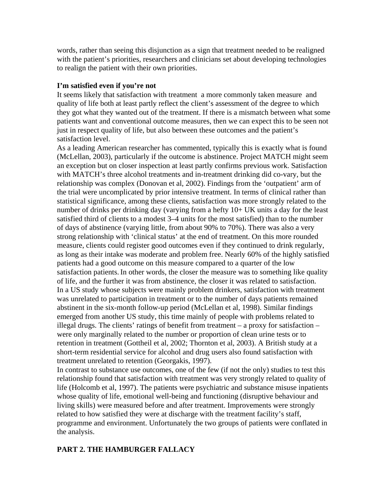words, rather than seeing this disjunction as a sign that treatment needed to be realigned with the patient's priorities, researchers and clinicians set about developing technologies to realign the patient with their own priorities.

# **I'm satisfied even if you're not**

It seems likely that satisfaction with treatment a more commonly taken measure and quality of life both at least partly reflect the client's assessment of the degree to which they got what they wanted out of the treatment. If there is a mismatch between what some patients want and conventional outcome measures, then we can expect this to be seen not just in respect quality of life, but also between these outcomes and the patient's satisfaction level.

As a leading American researcher has commented, typically this is exactly what is found (McLellan, 2003), particularly if the outcome is abstinence. Project MATCH might seem an exception but on closer inspection at least partly confirms previous work. Satisfaction with MATCH's three alcohol treatments and in-treatment drinking did co-vary, but the relationship was complex (Donovan et al, 2002). Findings from the 'outpatient' arm of the trial were uncomplicated by prior intensive treatment. In terms of clinical rather than statistical significance, among these clients, satisfaction was more strongly related to the number of drinks per drinking day (varying from a hefty 10+ UK units a day for the least satisfied third of clients to a modest 3–4 units for the most satisfied) than to the number of days of abstinence (varying little, from about 90% to 70%). There was also a very strong relationship with 'clinical status' at the end of treatment. On this more rounded measure, clients could register good outcomes even if they continued to drink regularly, as long as their intake was moderate and problem free. Nearly 60% of the highly satisfied patients had a good outcome on this measure compared to a quarter of the low satisfaction patients. In other words, the closer the measure was to something like quality of life, and the further it was from abstinence, the closer it was related to satisfaction. In a US study whose subjects were mainly problem drinkers, satisfaction with treatment was unrelated to participation in treatment or to the number of days patients remained abstinent in the six-month follow-up period (McLellan et al, 1998). Similar findings emerged from another US study, this time mainly of people with problems related to illegal drugs. The clients' ratings of benefit from treatment – a proxy for satisfaction – were only marginally related to the number or proportion of clean urine tests or to retention in treatment (Gottheil et al, 2002; Thornton et al, 2003). A British study at a short-term residential service for alcohol and drug users also found satisfaction with treatment unrelated to retention (Georgakis, 1997).

In contrast to substance use outcomes, one of the few (if not the only) studies to test this relationship found that satisfaction with treatment was very strongly related to quality of life (Holcomb et al, 1997). The patients were psychiatric and substance misuse inpatients whose quality of life, emotional well-being and functioning (disruptive behaviour and living skills) were measured before and after treatment. Improvements were strongly related to how satisfied they were at discharge with the treatment facility's staff, programme and environment. Unfortunately the two groups of patients were conflated in the analysis.

# **PART 2. THE HAMBURGER FALLACY**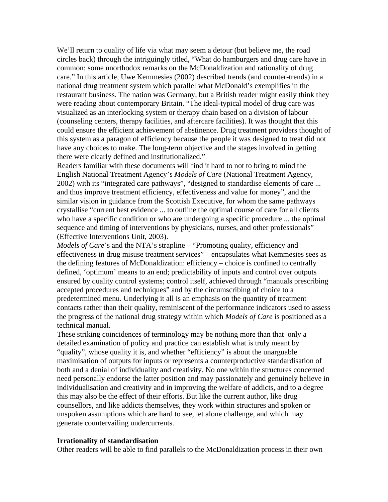We'll return to quality of life via what may seem a detour (but believe me, the road circles back) through the intriguingly titled, "What do hamburgers and drug care have in common: some unorthodox remarks on the McDonaldization and rationality of drug care." In this article, Uwe Kemmesies (2002) described trends (and counter-trends) in a national drug treatment system which parallel what McDonald's exemplifies in the restaurant business. The nation was Germany, but a British reader might easily think they were reading about contemporary Britain. "The ideal-typical model of drug care was visualized as an interlocking system or therapy chain based on a division of labour (counseling centers, therapy facilities, and aftercare facilities). It was thought that this could ensure the efficient achievement of abstinence. Drug treatment providers thought of this system as a paragon of efficiency because the people it was designed to treat did not have any choices to make. The long-term objective and the stages involved in getting there were clearly defined and institutionalized."

Readers familiar with these documents will find it hard to not to bring to mind the English National Treatment Agency's *Models of Care* (National Treatment Agency, 2002) with its "integrated care pathways", "designed to standardise elements of care ... and thus improve treatment efficiency, effectiveness and value for money", and the similar vision in guidance from the Scottish Executive, for whom the same pathways crystallise "current best evidence ... to outline the optimal course of care for all clients who have a specific condition or who are undergoing a specific procedure ... the optimal sequence and timing of interventions by physicians, nurses, and other professionals" (Effective Interventions Unit, 2003).

*Models of Care*'s and the NTA's strapline – "Promoting quality, efficiency and effectiveness in drug misuse treatment services" – encapsulates what Kemmesies sees as the defining features of McDonaldization: efficiency – choice is confined to centrally defined, 'optimum' means to an end; predictability of inputs and control over outputs ensured by quality control systems; control itself, achieved through "manuals prescribing accepted procedures and techniques" and by the circumscribing of choice to a predetermined menu. Underlying it all is an emphasis on the quantity of treatment contacts rather than their quality, reminiscent of the performance indicators used to assess the progress of the national drug strategy within which *Models of Care* is positioned as a technical manual.

These striking coincidences of terminology may be nothing more than that only a detailed examination of policy and practice can establish what is truly meant by "quality", whose quality it is, and whether "efficiency" is about the unarguable maximisation of outputs for inputs or represents a counterproductive standardisation of both and a denial of individuality and creativity. No one within the structures concerned need personally endorse the latter position and may passionately and genuinely believe in individualisation and creativity and in improving the welfare of addicts, and to a degree this may also be the effect of their efforts. But like the current author, like drug counsellors, and like addicts themselves, they work within structures and spoken or unspoken assumptions which are hard to see, let alone challenge, and which may generate countervailing undercurrents.

## **Irrationality of standardisation**

Other readers will be able to find parallels to the McDonaldization process in their own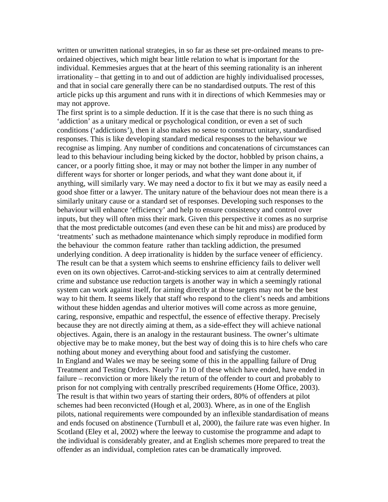written or unwritten national strategies, in so far as these set pre-ordained means to preordained objectives, which might bear little relation to what is important for the individual. Kemmesies argues that at the heart of this seeming rationality is an inherent irrationality – that getting in to and out of addiction are highly individualised processes, and that in social care generally there can be no standardised outputs. The rest of this article picks up this argument and runs with it in directions of which Kemmesies may or may not approve.

The first sprint is to a simple deduction. If it is the case that there is no such thing as 'addiction' as a unitary medical or psychological condition, or even a set of such conditions ('addictions'), then it also makes no sense to construct unitary, standardised responses. This is like developing standard medical responses to the behaviour we recognise as limping. Any number of conditions and concatenations of circumstances can lead to this behaviour including being kicked by the doctor, hobbled by prison chains, a cancer, or a poorly fitting shoe, it may or may not bother the limper in any number of different ways for shorter or longer periods, and what they want done about it, if anything, will similarly vary. We may need a doctor to fix it but we may as easily need a good shoe fitter or a lawyer. The unitary nature of the behaviour does not mean there is a similarly unitary cause or a standard set of responses. Developing such responses to the behaviour will enhance 'efficiency' and help to ensure consistency and control over inputs, but they will often miss their mark. Given this perspective it comes as no surprise that the most predictable outcomes (and even these can be hit and miss) are produced by 'treatments' such as methadone maintenance which simply reproduce in modified form the behaviour the common feature rather than tackling addiction, the presumed underlying condition. A deep irrationality is hidden by the surface veneer of efficiency. The result can be that a system which seems to enshrine efficiency fails to deliver well even on its own objectives. Carrot-and-sticking services to aim at centrally determined crime and substance use reduction targets is another way in which a seemingly rational system can work against itself, for aiming directly at those targets may not be the best way to hit them. It seems likely that staff who respond to the client's needs and ambitions without these hidden agendas and ulterior motives will come across as more genuine, caring, responsive, empathic and respectful, the essence of effective therapy. Precisely because they are not directly aiming at them, as a side-effect they will achieve national objectives. Again, there is an analogy in the restaurant business. The owner's ultimate objective may be to make money, but the best way of doing this is to hire chefs who care nothing about money and everything about food and satisfying the customer. In England and Wales we may be seeing some of this in the appalling failure of Drug Treatment and Testing Orders. Nearly 7 in 10 of these which have ended, have ended in failure – reconviction or more likely the return of the offender to court and probably to prison for not complying with centrally prescribed requirements (Home Office, 2003). The result is that within two years of starting their orders, 80% of offenders at pilot schemes had been reconvicted (Hough et al, 2003). Where, as in one of the English pilots, national requirements were compounded by an inflexible standardisation of means and ends focused on abstinence (Turnbull et al, 2000), the failure rate was even higher. In Scotland (Eley et al, 2002) where the leeway to customise the programme and adapt to the individual is considerably greater, and at English schemes more prepared to treat the offender as an individual, completion rates can be dramatically improved.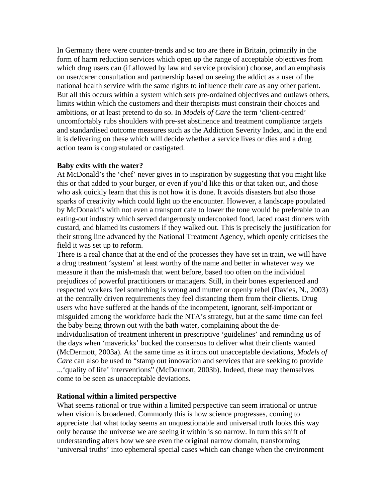In Germany there were counter-trends and so too are there in Britain, primarily in the form of harm reduction services which open up the range of acceptable objectives from which drug users can (if allowed by law and service provision) choose, and an emphasis on user/carer consultation and partnership based on seeing the addict as a user of the national health service with the same rights to influence their care as any other patient. But all this occurs within a system which sets pre-ordained objectives and outlaws others, limits within which the customers and their therapists must constrain their choices and ambitions, or at least pretend to do so. In *Models of Care* the term 'client-centred' uncomfortably rubs shoulders with pre-set abstinence and treatment compliance targets and standardised outcome measures such as the Addiction Severity Index, and in the end it is delivering on these which will decide whether a service lives or dies and a drug action team is congratulated or castigated.

#### **Baby exits with the water?**

At McDonald's the 'chef' never gives in to inspiration by suggesting that you might like this or that added to your burger, or even if you'd like this or that taken out, and those who ask quickly learn that this is not how it is done. It avoids disasters but also those sparks of creativity which could light up the encounter. However, a landscape populated by McDonald's with not even a transport cafe to lower the tone would be preferable to an eating-out industry which served dangerously undercooked food, laced roast dinners with custard, and blamed its customers if they walked out. This is precisely the justification for their strong line advanced by the National Treatment Agency, which openly criticises the field it was set up to reform.

There is a real chance that at the end of the processes they have set in train, we will have a drug treatment 'system' at least worthy of the name and better in whatever way we measure it than the mish-mash that went before, based too often on the individual prejudices of powerful practitioners or managers. Still, in their bones experienced and respected workers feel something is wrong and mutter or openly rebel (Davies, N., 2003) at the centrally driven requirements they feel distancing them from their clients. Drug users who have suffered at the hands of the incompetent, ignorant, self-important or misguided among the workforce back the NTA's strategy, but at the same time can feel the baby being thrown out with the bath water, complaining about the deindividualisation of treatment inherent in prescriptive 'guidelines' and reminding us of the days when 'mavericks' bucked the consensus to deliver what their clients wanted (McDermott, 2003a). At the same time as it irons out unacceptable deviations, *Models of Care* can also be used to "stamp out innovation and services that are seeking to provide ...'quality of life' interventions" (McDermott, 2003b). Indeed, these may themselves come to be seen as unacceptable deviations.

## **Rational within a limited perspective**

What seems rational or true within a limited perspective can seem irrational or untrue when vision is broadened. Commonly this is how science progresses, coming to appreciate that what today seems an unquestionable and universal truth looks this way only because the universe we are seeing it within is so narrow. In turn this shift of understanding alters how we see even the original narrow domain, transforming 'universal truths' into ephemeral special cases which can change when the environment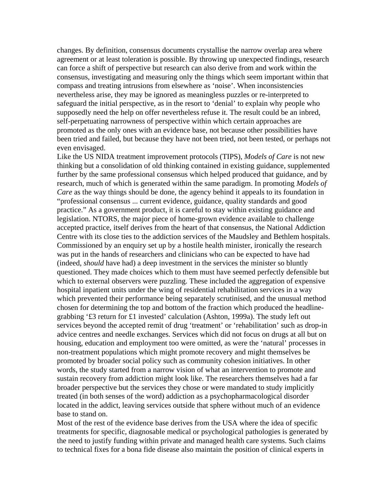changes. By definition, consensus documents crystallise the narrow overlap area where agreement or at least toleration is possible. By throwing up unexpected findings, research can force a shift of perspective but research can also derive from and work within the consensus, investigating and measuring only the things which seem important within that compass and treating intrusions from elsewhere as 'noise'. When inconsistencies nevertheless arise, they may be ignored as meaningless puzzles or re-interpreted to safeguard the initial perspective, as in the resort to 'denial' to explain why people who supposedly need the help on offer nevertheless refuse it. The result could be an inbred, self-perpetuating narrowness of perspective within which certain approaches are promoted as the only ones with an evidence base, not because other possibilities have been tried and failed, but because they have not been tried, not been tested, or perhaps not even envisaged.

Like the US NIDA treatment improvement protocols (TIPS), *Models of Care* is not new thinking but a consolidation of old thinking contained in existing guidance, supplemented further by the same professional consensus which helped produced that guidance, and by research, much of which is generated within the same paradigm. In promoting *Models of Care* as the way things should be done, the agency behind it appeals to its foundation in "professional consensus ... current evidence, guidance, quality standards and good practice." As a government product, it is careful to stay within existing guidance and legislation. NTORS, the major piece of home-grown evidence available to challenge accepted practice, itself derives from the heart of that consensus, the National Addiction Centre with its close ties to the addiction services of the Maudsley and Bethlem hospitals. Commissioned by an enquiry set up by a hostile health minister, ironically the research was put in the hands of researchers and clinicians who can be expected to have had (indeed, *should* have had) a deep investment in the services the minister so bluntly questioned. They made choices which to them must have seemed perfectly defensible but which to external observers were puzzling. These included the aggregation of expensive hospital inpatient units under the wing of residential rehabilitation services in a way which prevented their performance being separately scrutinised, and the unusual method chosen for determining the top and bottom of the fraction which produced the headlinegrabbing '£3 return for £1 invested' calculation (Ashton, 1999a). The study left out services beyond the accepted remit of drug 'treatment' or 'rehabilitation' such as drop-in advice centres and needle exchanges. Services which did not focus on drugs at all but on housing, education and employment too were omitted, as were the 'natural' processes in non-treatment populations which might promote recovery and might themselves be promoted by broader social policy such as community cohesion initiatives. In other words, the study started from a narrow vision of what an intervention to promote and sustain recovery from addiction might look like. The researchers themselves had a far broader perspective but the services they chose or were mandated to study implicitly treated (in both senses of the word) addiction as a psychopharmacological disorder located in the addict, leaving services outside that sphere without much of an evidence base to stand on.

Most of the rest of the evidence base derives from the USA where the idea of specific treatments for specific, diagnosable medical or psychological pathologies is generated by the need to justify funding within private and managed health care systems. Such claims to technical fixes for a bona fide disease also maintain the position of clinical experts in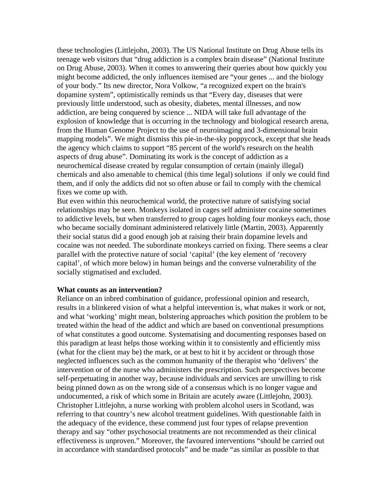these technologies (Littlejohn, 2003). The US National Institute on Drug Abuse tells its teenage web visitors that "drug addiction is a complex brain disease" (National Institute on Drug Abuse, 2003). When it comes to answering their queries about how quickly you might become addicted, the only influences itemised are "your genes ... and the biology of your body." Its new director, Nora Volkow, "a recognized expert on the brain's dopamine system", optimistically reminds us that "Every day, diseases that were previously little understood, such as obesity, diabetes, mental illnesses, and now addiction, are being conquered by science ... NIDA will take full advantage of the explosion of knowledge that is occurring in the technology and biological research arena, from the Human Genome Project to the use of neuroimaging and 3-dimensional brain mapping models". We might dismiss this pie-in-the-sky poppycock, except that she heads the agency which claims to support "85 percent of the world's research on the health aspects of drug abuse". Dominating its work is the concept of addiction as a neurochemical disease created by regular consumption of certain (mainly illegal) chemicals and also amenable to chemical (this time legal) solutions if only we could find them, and if only the addicts did not so often abuse or fail to comply with the chemical fixes we come up with.

But even within this neurochemical world, the protective nature of satisfying social relationships may be seen. Monkeys isolated in cages self administer cocaine sometimes to addictive levels, but when transferred to group cages holding four monkeys each, those who became socially dominant administered relatively little (Martin, 2003). Apparently their social status did a good enough job at raising their brain dopamine levels and cocaine was not needed. The subordinate monkeys carried on fixing. There seems a clear parallel with the protective nature of social 'capital' (the key element of 'recovery capital', of which more below) in human beings and the converse vulnerability of the socially stigmatised and excluded.

#### **What counts as an intervention?**

Reliance on an inbred combination of guidance, professional opinion and research, results in a blinkered vision of what a helpful intervention is, what makes it work or not, and what 'working' might mean, bolstering approaches which position the problem to be treated within the head of the addict and which are based on conventional presumptions of what constitutes a good outcome. Systematising and documenting responses based on this paradigm at least helps those working within it to consistently and efficiently miss (what for the client may be) the mark, or at best to hit it by accident or through those neglected influences such as the common humanity of the therapist who 'delivers' the intervention or of the nurse who administers the prescription. Such perspectives become self-perpetuating in another way, because individuals and services are unwilling to risk being pinned down as on the wrong side of a consensus which is no longer vague and undocumented, a risk of which some in Britain are acutely aware (Littlejohn, 2003). Christopher Littlejohn, a nurse working with problem alcohol users in Scotland, was referring to that country's new alcohol treatment guidelines. With questionable faith in the adequacy of the evidence, these commend just four types of relapse prevention therapy and say "other psychosocial treatments are not recommended as their clinical effectiveness is unproven." Moreover, the favoured interventions "should be carried out in accordance with standardised protocols" and be made "as similar as possible to that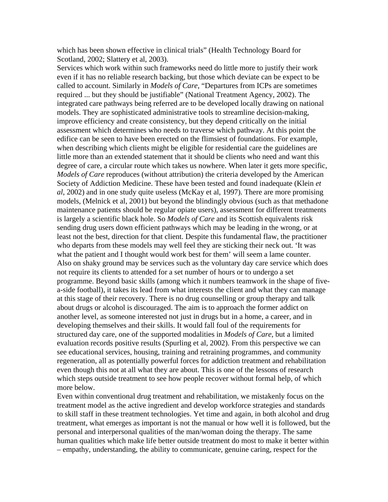which has been shown effective in clinical trials" (Health Technology Board for Scotland, 2002; Slattery et al, 2003).

Services which work within such frameworks need do little more to justify their work even if it has no reliable research backing, but those which deviate can be expect to be called to account. Similarly in *Models of Care*, "Departures from ICPs are sometimes required ... but they should be justifiable" (National Treatment Agency, 2002). The integrated care pathways being referred are to be developed locally drawing on national models. They are sophisticated administrative tools to streamline decision-making, improve efficiency and create consistency, but they depend critically on the initial assessment which determines who needs to traverse which pathway. At this point the edifice can be seen to have been erected on the flimsiest of foundations. For example, when describing which clients might be eligible for residential care the guidelines are little more than an extended statement that it should be clients who need and want this degree of care, a circular route which takes us nowhere. When later it gets more specific, *Models of Care* reproduces (without attribution) the criteria developed by the American Society of Addiction Medicine. These have been tested and found inadequate (Klein *et al*, 2002) and in one study quite useless (McKay et al, 1997). There are more promising models, (Melnick et al, 2001) but beyond the blindingly obvious (such as that methadone maintenance patients should be regular opiate users), assessment for different treatments is largely a scientific black hole. So *Models of Care* and its Scottish equivalents risk sending drug users down efficient pathways which may be leading in the wrong, or at least not the best, direction for that client. Despite this fundamental flaw, the practitioner who departs from these models may well feel they are sticking their neck out. 'It was what the patient and I thought would work best for them' will seem a lame counter. Also on shaky ground may be services such as the voluntary day care service which does not require its clients to attended for a set number of hours or to undergo a set programme. Beyond basic skills (among which it numbers teamwork in the shape of fivea-side football), it takes its lead from what interests the client and what they can manage at this stage of their recovery. There is no drug counselling or group therapy and talk about drugs or alcohol is discouraged. The aim is to approach the former addict on another level, as someone interested not just in drugs but in a home, a career, and in developing themselves and their skills. It would fall foul of the requirements for structured day care, one of the supported modalities in *Models of Care*, but a limited evaluation records positive results (Spurling et al, 2002). From this perspective we can see educational services, housing, training and retraining programmes, and community regeneration, all as potentially powerful forces for addiction treatment and rehabilitation even though this not at all what they are about. This is one of the lessons of research which steps outside treatment to see how people recover without formal help, of which more below.

Even within conventional drug treatment and rehabilitation, we mistakenly focus on the treatment model as the active ingredient and develop workforce strategies and standards to skill staff in these treatment technologies. Yet time and again, in both alcohol and drug treatment, what emerges as important is not the manual or how well it is followed, but the personal and interpersonal qualities of the man/woman doing the therapy. The same human qualities which make life better outside treatment do most to make it better within – empathy, understanding, the ability to communicate, genuine caring, respect for the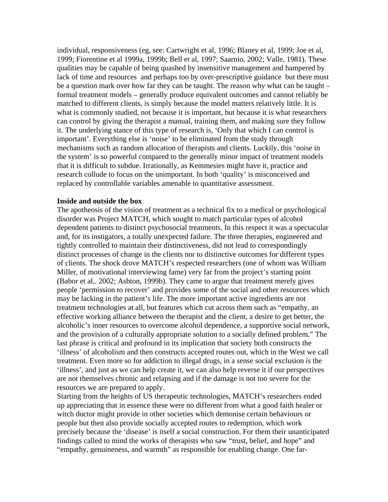individual, responsiveness (eg, see: Cartwright et al, 1996; Blaney et al, 1999; Joe et al, 1999; Fiorentine et al 1999a, 1999b; Bell et al, 1997; Saarnio, 2002; Valle, 1981). These qualities may be capable of being quashed by insensitive management and hampered by lack of time and resources and perhaps too by over-prescriptive guidance but there must be a question mark over how far they can be taught. The reason why what can be taught – formal treatment models – generally produce equivalent outcomes and cannot reliably be matched to different clients, is simply because the model matters relatively little. It is what is commonly studied, not because it is important, but because it is what researchers can control by giving the therapist a manual, training them, and making sure they follow it. The underlying stance of this type of research is, 'Only that which I can control is important'. Everything else is 'noise' to be eliminated from the study through mechanisms such as random allocation of therapists and clients. Luckily, this 'noise in the system' is so powerful compared to the generally minor impact of treatment models that it is difficult to subdue. Irrationally, as Kemmesies might have it, practice and research collude to focus on the unimportant. In both 'quality' is misconceived and replaced by controllable variables amenable to quantitative assessment.

#### **Inside and outside the box**

The apotheosis of the vision of treatment as a technical fix to a medical or psychological disorder was Project MATCH, which sought to match particular types of alcohol dependent patients to distinct psychosocial treatments. In this respect it was a spectacular and, for its instigators, a totally unexpected failure. The three therapies, engineered and tightly controlled to maintain their distinctiveness, did not lead to correspondingly distinct processes of change in the clients nor to distinctive outcomes for different types of clients. The shock drove MATCH's respected researchers (one of whom was William Miller, of motivational interviewing fame) very far from the project's starting point (Babor et al,. 2002; Ashton, 1999b). They came to argue that treatment merely gives people 'permission to recover' and provides some of the social and other resources which may be lacking in the patient's life. The more important active ingredients are not treatment technologies at all, but features which cut across them such as "empathy, an effective working alliance between the therapist and the client, a desire to get better, the alcoholic's inner resources to overcome alcohol dependence, a supportive social network, and the provision of a culturally appropriate solution to a socially defined problem." The last phrase is critical and profound in its implication that society both constructs the 'illness' of alcoholism and then constructs accepted routes out, which in the West we call treatment. Even more so for addiction to illegal drugs, in a sense social exclusion *is* the 'illness', and just as we can help create it, we can also help reverse it if our perspectives are not themselves chronic and relapsing and if the damage is not too severe for the resources we are prepared to apply.

Starting from the heights of US therapeutic technologies, MATCH's researchers ended up appreciating that in essence these were no different from what a good faith healer or witch doctor might provide in other societies which demonise certain behaviours or people but then also provide socially accepted routes to redemption, which work precisely because the 'disease' is itself a social construction. For them their unanticipated findings called to mind the works of therapists who saw "trust, belief, and hope" and "empathy, genuineness, and warmth" as responsible for enabling change. One far-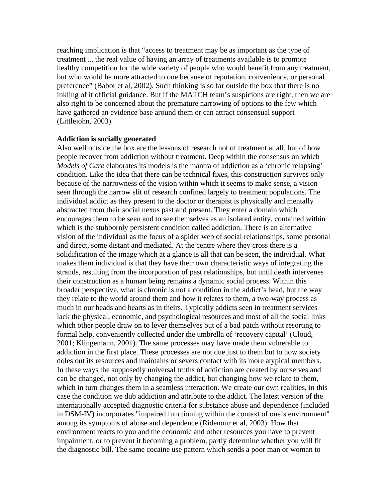reaching implication is that "access to treatment may be as important as the type of treatment ... the real value of having an array of treatments available is to promote healthy competition for the wide variety of people who would benefit from any treatment, but who would be more attracted to one because of reputation, convenience, or personal preference" (Babor et al, 2002). Such thinking is so far outside the box that there is no inkling of it official guidance. But if the MATCH team's suspicions are right, then we are also right to be concerned about the premature narrowing of options to the few which have gathered an evidence base around them or can attract consensual support (Littlejohn, 2003).

### **Addiction is socially generated**

Also well outside the box are the lessons of research not of treatment at all, but of how people recover from addiction without treatment. Deep within the consensus on which *Models of Care* elaborates its models is the mantra of addiction as a 'chronic relapsing' condition. Like the idea that there can be technical fixes, this construction survives only because of the narrowness of the vision within which it seems to make sense, a vision seen through the narrow slit of research confined largely to treatment populations. The individual addict as they present to the doctor or therapist is physically and mentally abstracted from their social nexus past and present. They enter a domain which encourages them to be seen and to see themselves as an isolated entity, contained within which is the stubbornly persistent condition called addiction. There is an alternative vision of the individual as the focus of a spider web of social relationships, some personal and direct, some distant and mediated. At the centre where they cross there is a solidification of the image which at a glance is all that can be seen, the individual. What makes them individual is that they have their own characteristic ways of integrating the strands, resulting from the incorporation of past relationships, but until death intervenes their construction as a human being remains a dynamic social process. Within this broader perspective, what is chronic is not a condition in the addict's head, but the way they relate to the world around them and how it relates to them, a two-way process as much in our heads and hearts as in theirs. Typically addicts seen in treatment services lack the physical, economic, and psychological resources and most of all the social links which other people draw on to lever themselves out of a bad patch without resorting to formal help, conveniently collected under the umbrella of 'recovery capital' (Cloud, 2001; Klingemann, 2001). The same processes may have made them vulnerable to addiction in the first place. These processes are not due just to them but to how society doles out its resources and maintains or severs contact with its more atypical members. In these ways the supposedly universal truths of addiction are created by ourselves and can be changed, not only by changing the addict, but changing how we relate to them, which in turn changes them in a seamless interaction. We create our own realities, in this case the condition we dub addiction and attribute to the addict. The latest version of the internationally accepted diagnostic criteria for substance abuse and dependence (included in DSM-IV) incorporates "impaired functioning within the context of one's environment" among its symptoms of abuse and dependence (Ridenour et al, 2003). How that environment reacts to you and the economic and other resources you have to prevent impairment, or to prevent it becoming a problem, partly determine whether you will fit the diagnostic bill. The same cocaine use pattern which sends a poor man or woman to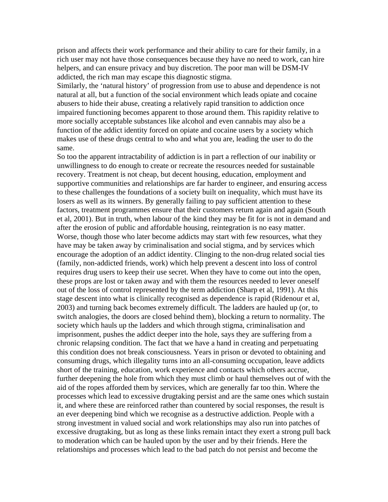prison and affects their work performance and their ability to care for their family, in a rich user may not have those consequences because they have no need to work, can hire helpers, and can ensure privacy and buy discretion. The poor man will be DSM-IV addicted, the rich man may escape this diagnostic stigma.

Similarly, the 'natural history' of progression from use to abuse and dependence is not natural at all, but a function of the social environment which leads opiate and cocaine abusers to hide their abuse, creating a relatively rapid transition to addiction once impaired functioning becomes apparent to those around them. This rapidity relative to more socially acceptable substances like alcohol and even cannabis may also be a function of the addict identity forced on opiate and cocaine users by a society which makes use of these drugs central to who and what you are, leading the user to do the same.

So too the apparent intractability of addiction is in part a reflection of our inability or unwillingness to do enough to create or recreate the resources needed for sustainable recovery. Treatment is not cheap, but decent housing, education, employment and supportive communities and relationships are far harder to engineer, and ensuring access to these challenges the foundations of a society built on inequality, which must have its losers as well as its winners. By generally failing to pay sufficient attention to these factors, treatment programmes ensure that their customers return again and again (South et al, 2001). But in truth, when labour of the kind they may be fit for is not in demand and after the erosion of public and affordable housing, reintegration is no easy matter. Worse, though those who later become addicts may start with few resources, what they have may be taken away by criminalisation and social stigma, and by services which encourage the adoption of an addict identity. Clinging to the non-drug related social ties (family, non-addicted friends, work) which help prevent a descent into loss of control requires drug users to keep their use secret. When they have to come out into the open, these props are lost or taken away and with them the resources needed to lever oneself out of the loss of control represented by the term addiction (Sharp et al, 1991). At this stage descent into what is clinically recognised as dependence is rapid (Ridenour et al, 2003) and turning back becomes extremely difficult. The ladders are hauled up (or, to switch analogies, the doors are closed behind them), blocking a return to normality. The society which hauls up the ladders and which through stigma, criminalisation and imprisonment, pushes the addict deeper into the hole, says they are suffering from a chronic relapsing condition. The fact that we have a hand in creating and perpetuating this condition does not break consciousness. Years in prison or devoted to obtaining and consuming drugs, which illegality turns into an all-consuming occupation, leave addicts short of the training, education, work experience and contacts which others accrue, further deepening the hole from which they must climb or haul themselves out of with the aid of the ropes afforded them by services, which are generally far too thin. Where the processes which lead to excessive drugtaking persist and are the same ones which sustain it, and where these are reinforced rather than countered by social responses, the result is an ever deepening bind which we recognise as a destructive addiction. People with a strong investment in valued social and work relationships may also run into patches of excessive drugtaking, but as long as these links remain intact they exert a strong pull back to moderation which can be hauled upon by the user and by their friends. Here the relationships and processes which lead to the bad patch do not persist and become the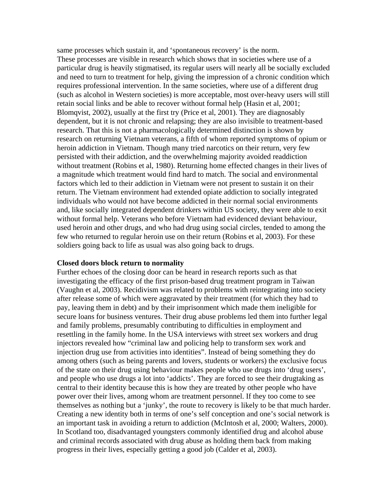same processes which sustain it, and 'spontaneous recovery' is the norm. These processes are visible in research which shows that in societies where use of a particular drug is heavily stigmatised, its regular users will nearly all be socially excluded and need to turn to treatment for help, giving the impression of a chronic condition which requires professional intervention. In the same societies, where use of a different drug (such as alcohol in Western societies) is more acceptable, most over-heavy users will still retain social links and be able to recover without formal help (Hasin et al, 2001; Blomqvist, 2002), usually at the first try (Price et al, 2001). They are diagnosably dependent, but it is not chronic and relapsing; they are also invisible to treatment-based research. That this is not a pharmacologically determined distinction is shown by research on returning Vietnam veterans, a fifth of whom reported symptoms of opium or heroin addiction in Vietnam. Though many tried narcotics on their return, very few persisted with their addiction, and the overwhelming majority avoided readdiction without treatment (Robins et al, 1980). Returning home effected changes in their lives of a magnitude which treatment would find hard to match. The social and environmental factors which led to their addiction in Vietnam were not present to sustain it on their return. The Vietnam environment had extended opiate addiction to socially integrated individuals who would not have become addicted in their normal social environments and, like socially integrated dependent drinkers within US society, they were able to exit without formal help. Veterans who before Vietnam had evidenced deviant behaviour, used heroin and other drugs, and who had drug using social circles, tended to among the few who returned to regular heroin use on their return (Robins et al, 2003). For these soldiers going back to life as usual was also going back to drugs.

## **Closed doors block return to normality**

Further echoes of the closing door can be heard in research reports such as that investigating the efficacy of the first prison-based drug treatment program in Taiwan (Vaughn et al, 2003). Recidivism was related to problems with reintegrating into society after release some of which were aggravated by their treatment (for which they had to pay, leaving them in debt) and by their imprisonment which made them ineligible for secure loans for business ventures. Their drug abuse problems led them into further legal and family problems, presumably contributing to difficulties in employment and resettling in the family home. In the USA interviews with street sex workers and drug injectors revealed how "criminal law and policing help to transform sex work and injection drug use from activities into identities". Instead of being something they do among others (such as being parents and lovers, students or workers) the exclusive focus of the state on their drug using behaviour makes people who use drugs into 'drug users', and people who use drugs a lot into 'addicts'. They are forced to see their drugtaking as central to their identity because this is how they are treated by other people who have power over their lives, among whom are treatment personnel. If they too come to see themselves as nothing but a 'junky', the route to recovery is likely to be that much harder. Creating a new identity both in terms of one's self conception and one's social network is an important task in avoiding a return to addiction (McIntosh et al, 2000; Walters, 2000). In Scotland too, disadvantaged youngsters commonly identified drug and alcohol abuse and criminal records associated with drug abuse as holding them back from making progress in their lives, especially getting a good job (Calder et al, 2003).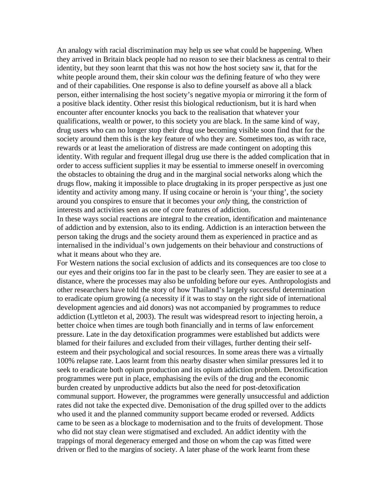An analogy with racial discrimination may help us see what could be happening. When they arrived in Britain black people had no reason to see their blackness as central to their identity, but they soon learnt that this was not how the host society saw it, that for the white people around them, their skin colour *was* the defining feature of who they were and of their capabilities. One response is also to define yourself as above all a black person, either internalising the host society's negative myopia or mirroring it the form of a positive black identity. Other resist this biological reductionism, but it is hard when encounter after encounter knocks you back to the realisation that whatever your qualifications, wealth or power, to this society you are black. In the same kind of way, drug users who can no longer stop their drug use becoming visible soon find that for the society around them this is the key feature of who they are. Sometimes too, as with race, rewards or at least the amelioration of distress are made contingent on adopting this identity. With regular and frequent illegal drug use there is the added complication that in order to access sufficient supplies it may be essential to immerse oneself in overcoming the obstacles to obtaining the drug and in the marginal social networks along which the drugs flow, making it impossible to place drugtaking in its proper perspective as just one identity and activity among many. If using cocaine or heroin is 'your thing', the society around you conspires to ensure that it becomes your *only* thing, the constriction of interests and activities seen as one of core features of addiction.

In these ways social reactions are integral to the creation, identification and maintenance of addiction and by extension, also to its ending. Addiction is an interaction between the person taking the drugs and the society around them as experienced in practice and as internalised in the individual's own judgements on their behaviour and constructions of what it means about who they are.

For Western nations the social exclusion of addicts and its consequences are too close to our eyes and their origins too far in the past to be clearly seen. They are easier to see at a distance, where the processes may also be unfolding before our eyes. Anthropologists and other researchers have told the story of how Thailand's largely successful determination to eradicate opium growing (a necessity if it was to stay on the right side of international development agencies and aid donors) was not accompanied by programmes to reduce addiction (Lyttleton et al, 2003). The result was widespread resort to injecting heroin, a better choice when times are tough both financially and in terms of law enforcement pressure. Late in the day detoxification programmes were established but addicts were blamed for their failures and excluded from their villages, further denting their selfesteem and their psychological and social resources. In some areas there was a virtually 100% relapse rate. Laos learnt from this nearby disaster when similar pressures led it to seek to eradicate both opium production and its opium addiction problem. Detoxification programmes were put in place, emphasising the evils of the drug and the economic burden created by unproductive addicts but also the need for post-detoxification communal support. However, the programmes were generally unsuccessful and addiction rates did not take the expected dive. Demonisation of the drug spilled over to the addicts who used it and the planned community support became eroded or reversed. Addicts came to be seen as a blockage to modernisation and to the fruits of development. Those who did not stay clean were stigmatised and excluded. An addict identity with the trappings of moral degeneracy emerged and those on whom the cap was fitted were driven or fled to the margins of society. A later phase of the work learnt from these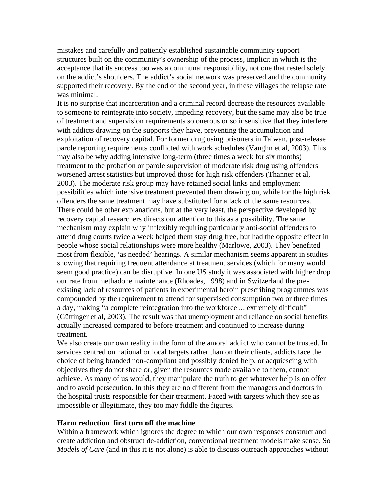mistakes and carefully and patiently established sustainable community support structures built on the community's ownership of the process, implicit in which is the acceptance that its success too was a communal responsibility, not one that rested solely on the addict's shoulders. The addict's social network was preserved and the community supported their recovery. By the end of the second year, in these villages the relapse rate was minimal.

It is no surprise that incarceration and a criminal record decrease the resources available to someone to reintegrate into society, impeding recovery, but the same may also be true of treatment and supervision requirements so onerous or so insensitive that they interfere with addicts drawing on the supports they have, preventing the accumulation and exploitation of recovery capital. For former drug using prisoners in Taiwan, post-release parole reporting requirements conflicted with work schedules (Vaughn et al, 2003). This may also be why adding intensive long-term (three times a week for six months) treatment to the probation or parole supervision of moderate risk drug using offenders worsened arrest statistics but improved those for high risk offenders (Thanner et al, 2003). The moderate risk group may have retained social links and employment possibilities which intensive treatment prevented them drawing on, while for the high risk offenders the same treatment may have substituted for a lack of the same resources. There could be other explanations, but at the very least, the perspective developed by recovery capital researchers directs our attention to this as a possibility. The same mechanism may explain why inflexibly requiring particularly anti-social offenders to attend drug courts twice a week helped them stay drug free, but had the opposite effect in people whose social relationships were more healthy (Marlowe, 2003). They benefited most from flexible, 'as needed' hearings. A similar mechanism seems apparent in studies showing that requiring frequent attendance at treatment services (which for many would seem good practice) can be disruptive. In one US study it was associated with higher drop our rate from methadone maintenance (Rhoades, 1998) and in Switzerland the preexisting lack of resources of patients in experimental heroin prescribing programmes was compounded by the requirement to attend for supervised consumption two or three times a day, making "a complete reintegration into the workforce ... extremely difficult" (Güttinger et al, 2003). The result was that unemployment and reliance on social benefits actually increased compared to before treatment and continued to increase during treatment.

We also create our own reality in the form of the amoral addict who cannot be trusted. In services centred on national or local targets rather than on their clients, addicts face the choice of being branded non-compliant and possibly denied help, or acquiescing with objectives they do not share or, given the resources made available to them, cannot achieve. As many of us would, they manipulate the truth to get whatever help is on offer and to avoid persecution. In this they are no different from the managers and doctors in the hospital trusts responsible for their treatment. Faced with targets which they see as impossible or illegitimate, they too may fiddle the figures.

## **Harm reduction first turn off the machine**

Within a framework which ignores the degree to which our own responses construct and create addiction and obstruct de-addiction, conventional treatment models make sense. So *Models of Care* (and in this it is not alone) is able to discuss outreach approaches without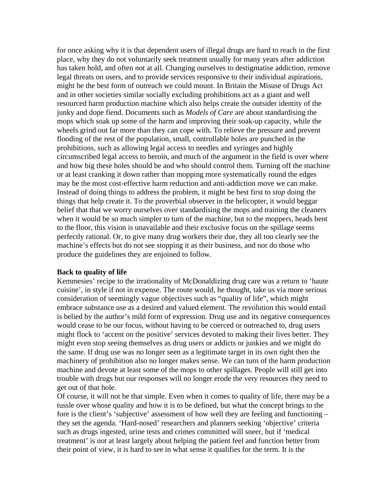for once asking why it is that dependent users of illegal drugs are hard to reach in the first place, why they do not voluntarily seek treatment usually for many years after addiction has taken hold, and often not at all. Changing ourselves to destigmatise addiction, remove legal threats on users, and to provide services responsive to their individual aspirations, might be the best form of outreach we could mount. In Britain the Misuse of Drugs Act and in other societies similar socially excluding prohibitions act as a giant and well resourced harm production machine which also helps create the outsider identity of the junky and dope fiend. Documents such as *Models of Care* are about standardising the mops which soak up some of the harm and improving their soak-up capacity, while the wheels grind out far more than they can cope with. To relieve the pressure and prevent flooding of the rest of the population, small, controllable holes are punched in the prohibitions, such as allowing legal access to needles and syringes and highly circumscribed legal access to heroin, and much of the argument in the field is over where and how big these holes should be and who should control them. Turning off the machine or at least cranking it down rather than mopping more systematically round the edges may be the most cost-effective harm reduction and anti-addiction move we can make. Instead of doing things to address the problem, it might be best first to *stop* doing the things that help create it. To the proverbial observer in the helicopter, it would beggar belief that that we worry ourselves over standardising the mops and training the cleaners when it would be so much simpler to turn of the machine, but to the moppers, heads bent to the floor, this vision is unavailable and their exclusive focus on the spillage seems perfectly rational. Or, to give many drug workers their due, they all too clearly see the machine's effects but do not see stopping it as their business, and nor do those who produce the guidelines they are enjoined to follow.

## **Back to quality of life**

Kemmesies' recipe to the irrationality of McDonaldizing drug care was a return to 'haute cuisine', in style if not in expense. The route would, he thought, take us via more serious consideration of seemingly vague objectives such as "quality of life", which might embrace substance use as a desired and valued element. The revolution this would entail is belied by the author's mild form of expression. Drug use and its negative consequences would cease to be our focus, without having to be coerced or outreached to, drug users might flock to 'accent on the positive' services devoted to making their lives better. They might even stop seeing themselves as drug users or addicts or junkies and we might do the same. If drug use was no longer seen as a legitimate target in its own right then the machinery of prohibition also no longer makes sense. We can turn of the harm production machine and devote at least some of the mops to other spillages. People will still get into trouble with drugs but our responses will no longer erode the very resources they need to get out of that hole.

Of course, it will not be that simple. Even when it comes to quality of life, there may be a tussle over whose quality and how it is to be defined, but what the concept brings to the fore is the client's 'subjective' assessment of how well they are feeling and functioning – they set the agenda. 'Hard-nosed' researchers and planners seeking 'objective' criteria such as drugs ingested, urine tests and crimes committed will sneer, but if 'medical treatment' is not at least largely about helping the patient feel and function better from their point of view, it is hard to see in what sense it qualifies for the term. It is the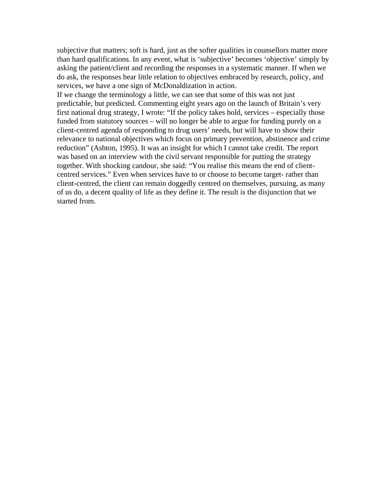subjective that matters; soft is hard, just as the softer qualities in counsellors matter more than hard qualifications. In any event, what is 'subjective' becomes 'objective' simply by asking the patient/client and recording the responses in a systematic manner. If when we do ask, the responses bear little relation to objectives embraced by research, policy, and services, we have a one sign of McDonaldization in action.

If we change the terminology a little, we can see that some of this was not just predictable, but predicted. Commenting eight years ago on the launch of Britain's very first national drug strategy, I wrote: "If the policy takes hold, services – especially those funded from statutory sources – will no longer be able to argue for funding purely on a client-centred agenda of responding to drug users' needs, but will have to show their relevance to national objectives which focus on primary prevention, abstinence and crime reduction" (Ashton, 1995). It was an insight for which I cannot take credit. The report was based on an interview with the civil servant responsible for putting the strategy together. With shocking candour, she said: "You realise this means the end of clientcentred services." Even when services have to or choose to become target- rather than client-centred, the client can remain doggedly centred on themselves, pursuing, as many of us do, a decent quality of life as they define it. The result is the disjunction that we started from.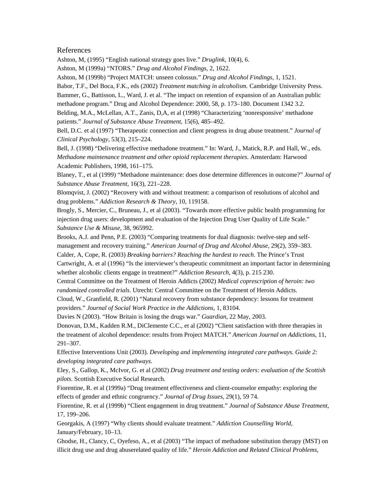#### References

Ashton, M, (1995) "English national strategy goes live." *Druglink*, 10(4), 6.

Ashton, M (1999a) "NTORS." *Drug and Alcohol Findings*, 2, 1622.

Ashton, M (1999b) "Project MATCH: unseen colossus." *Drug and Alcohol Findings*, 1, 1521.

Babor, T.F., Del Boca, F.K., eds (2002) *Treatment matching in alcoholism.* Cambridge University Press. Bammer, G., Battisson, L., Ward, J. et al. "The impact on retention of expansion of an Australian public methadone program." Drug and Alcohol Dependence: 2000, 58, p. 173–180. Document 1342 3.2.

Belding, M.A., McLellan, A.T., Zanis, D,A, et al (1998) "Characterizing 'nonresponsive' methadone patients." *Journal of Substance Abuse Treatment*, 15(6), 485–492.

Bell, D.C. et al (1997) "Therapeutic connection and client progress in drug abuse treatment." *Journal of Clinical Psychology*, 53(3), 215–224.

Bell, J. (1998) "Delivering effective methadone treatment." In: Ward, J., Matick, R.P. and Hall, W., eds. *Methadone maintenance treatment and other opioid replacement therapies*. Amsterdam: Harwood Academic Publishers, 1998, 161–175.

Blaney, T., et al (1999) "Methadone maintenance: does dose determine differences in outcome?" *Journal of Substance Abuse Treatment*, 16(3), 221–228.

Blomqvist, J. (2002) "Recovery with and without treatment: a comparison of resolutions of alcohol and drug problems." *Addiction Research & Theory*, 10, 119158.

Brogly, S., Mercier, C., Bruneau, J., et al (2003). "Towards more effective public health programming for injection drug users: development and evaluation of the Injection Drug User Quality of Life Scale." *Substance Use & Misuse*, 38, 965992.

Brooks, A.J. and Penn, P.E. (2003) "Comparing treatments for dual diagnosis: twelve-step and selfmanagement and recovery training." *American Journal of Drug and Alcohol Abuse*, 29(2), 359–383. Calder, A, Cope, R. (2003) *Breaking barriers? Reaching the hardest to reach*. The Prince's Trust

Cartwright, A. et al (1996) "Is the interviewer's therapeutic commitment an important factor in determining whether alcoholic clients engage in treatment?" *Addiction Research*, 4(3), p. 215 230.

Central Committee on the Treatment of Heroin Addicts (2002) *Medical coprescription of heroin: two randomized controlled trials*. Utrecht: Central Committee on the Treatment of Heroin Addicts.

Cloud, W., Granfield, R. (2001) "Natural recovery from substance dependency: lessons for treatment providers." *Journal of Social Work Practice in the Addictions*, 1, 83104.

Davies N (2003). "How Britain is losing the drugs war." *Guardian*, 22 May, 2003.

Donovan, D.M., Kadden R.M., DiClemente C.C., et al (2002) "Client satisfaction with three therapies in the treatment of alcohol dependence: results from Project MATCH." *American Journal on Addictions*, 11, 291–307.

Effective Interventions Unit (2003). *Developing and implementing integrated care pathways. Guide 2: developing integrated care pathways*.

Eley, S., Gallop, K., McIvor, G. et al (2002) *Drug treatment and testing orders: evaluation of the Scottish pilots*. Scottish Executive Social Research.

Fiorentine, R. et al (1999a) "Drug treatment effectiveness and client-counselor empathy: exploring the effects of gender and ethnic congruency." *Journal of Drug Issues*, 29(1), 59 74.

Fiorentine, R. et al (1999b) "Client engagement in drug treatment." *Journal of Substance Abuse Treatment*, 17, 199–206.

Georgakis, A (1997) "Why clients should evaluate treatment." *Addiction Counselling World*, January/February, 10–13.

Ghodse, H., Clancy, C, Oyefeso, A., et al (2003) "The impact of methadone substitution therapy (MST) on illicit drug use and drug abuserelated quality of life." *Heroin Addiction and Related Clinical Problems*,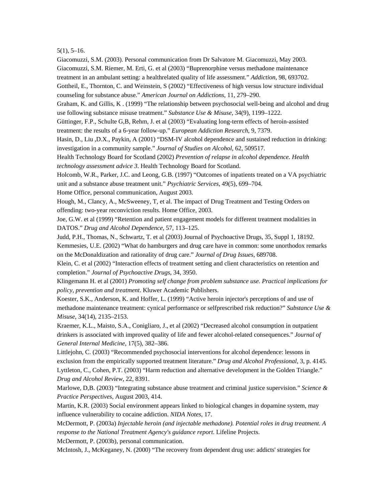5(1), 5–16.

Giacomuzzi, S.M. (2003). Personal communication from Dr Salvatore M. Giacomuzzi, May 2003.

Giacomuzzi, S.M. Riemer, M. Erti, G. et al (2003) "Buprenorphine versus methadone maintenance

treatment in an ambulant setting: a healthrelated quality of life assessment." *Addiction*, 98, 693702.

Gottheil, E., Thornton, C. and Weinstein, S (2002) "Effectiveness of high versus low structure individual counseling for substance abuse." *American Journal on Addictions*, 11, 279–290.

Graham, K. and Gillis, K . (1999) "The relationship between psychosocial well-being and alcohol and drug use following substance misuse treatment." *Substance Use & Misuse*, 34(9), 1199–1222.

Güttinger, F.P., Schulte G,B, Rehm, J. et al (2003) "Evaluating long-term effects of heroin-assisted treatment: the results of a 6-year follow-up." *European Addiction Research*, 9, 7379.

Hasin, D., Liu ,D.X., Paykin, A (2001) "DSM-IV alcohol dependence and sustained reduction in drinking: investigation in a community sample." *Journal of Studies on Alcohol*, 62, 509517.

Health Technology Board for Scotland (2002) *Prevention of relapse in alcohol dependence. Health technology assessment advice 3*. Health Technology Board for Scotland.

Holcomb, W.R., Parker, J.C. and Leong, G.B. (1997) "Outcomes of inpatients treated on a VA psychiatric unit and a substance abuse treatment unit." *Psychiatric Services*, 49(5), 699–704.

Home Office, personal communication, August 2003.

Hough, M., Clancy, A., McSweeney, T, et al. The impact of Drug Treatment and Testing Orders on offending: two-year reconviction results. Home Office, 2003.

Joe, G.W. et al (1999) "Retention and patient engagement models for different treatment modalities in DATOS." *Drug and Alcohol Dependence*, 57, 113–125.

Judd, P.H., Thomas, N., Schwartz, T. et al (2003) Journal of Psychoactive Drugs, 35, Suppl 1, 18192. Kemmesies, U.E. (2002) "What do hamburgers and drug care have in common: some unorthodox remarks on the McDonaldization and rationality of drug care." *Journal of Drug Issues*, 689708.

Klein, C. et al (2002) "Interaction effects of treatment setting and client characteristics on retention and completion." *Journal of Psychoactive Drugs*, 34, 3950.

Klingemann H. et al (2001) *Promoting self change from problem substance use. Practical implications for policy, prevention and treatment*. Kluwer Academic Publishers.

Koester, S.K., Anderson, K. and Hoffer, L. (1999) "Active heroin injector's perceptions of and use of methadone maintenance treatment: cynical performance or selfprescribed risk reduction?" *Substance Use & Misuse*, 34(14), 2135–2153.

Kraemer, K.L., Maisto, S.A., Conigliaro, J., et al (2002) "Decreased alcohol consumption in outpatient drinkers is associated with improved quality of life and fewer alcohol-related consequences." *Journal of General Internal Medicine*, 17(5), 382–386.

Littlejohn, C. (2003) "Recommended psychosocial interventions for alcohol dependence: lessons in exclusion from the empirically supported treatment literature." *Drug and Alcohol Professional*, 3, p. 4145. Lyttleton, C., Cohen, P.T. (2003) "Harm reduction and alternative development in the Golden Triangle." *Drug and Alcohol Review*, 22, 8391.

Marlowe, D,B. (2003) "Integrating substance abuse treatment and criminal justice supervision." *Science & Practice Perspectives*, August 2003, 414.

Martin, K.R. (2003) Social environment appears linked to biological changes in dopamine system, may influence vulnerability to cocaine addiction. *NIDA Notes*, 17.

McDermott, P. (2003a) *Injectable heroin (and injectable methadone). Potential roles in drug treatment. A response to the National Treatment Agency's guidance report*. Lifeline Projects.

McDermott, P. (2003b), personal communication.

McIntosh, J., McKeganey, N. (2000) "The recovery from dependent drug use: addicts' strategies for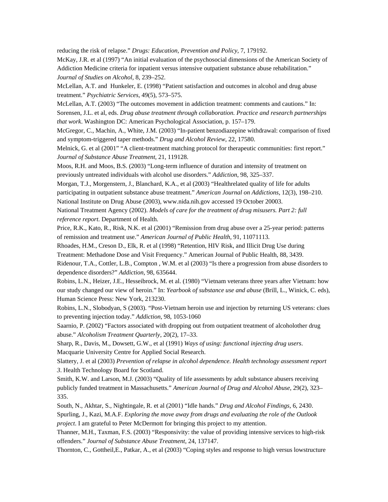reducing the risk of relapse." *Drugs: Education, Prevention and Policy*, 7, 179192.

McKay, J.R. et al (1997) "An initial evaluation of the psychosocial dimensions of the American Society of Addiction Medicine criteria for inpatient versus intensive outpatient substance abuse rehabilitation." *Journal of Studies on Alcohol*, 8, 239–252.

McLellan, A.T. and Hunkeler, E. (1998) "Patient satisfaction and outcomes in alcohol and drug abuse treatment." *Psychiatric Services*, 49(5), 573–575.

McLellan, A.T. (2003) "The outcomes movement in addiction treatment: comments and cautions." In: Sorensen, J.L. et al, eds. *Drug abuse treatment through collaboration. Practice and research partnerships that work*. Washington DC: American Psychological Association, p. 157–179.

McGregor, C., Machin, A., White, J.M. (2003) "In-patient benzodiazepine withdrawal: comparison of fixed and symptom-triggered taper methods." *Drug and Alcohol Review*, 22, 17580.

Melnick, G. et al (2001" "A client-treatment matching protocol for therapeutic communities: first report." *Journal of Substance Abuse Treatment*, 21, 119128.

Moos, R.H. and Moos, B.S. (2003) "Long-term influence of duration and intensity of treatment on previously untreated individuals with alcohol use disorders." *Addiction*, 98, 325–337.

Morgan, T.J., Morgenstern, J., Blanchard, K.A., et al (2003) "Healthrelated quality of life for adults participating in outpatient substance abuse treatment." *American Journal on Addictions*, 12(3), 198–210. National Institute on Drug Abuse (2003), www.nida.nih.gov accessed 19 October 20003.

National Treatment Agency (2002). *Models of care for the treatment of drug misusers. Part 2: full reference report*. Department of Health.

Price, R.K., Kato, R., Risk, N.K. et al (2001) "Remission from drug abuse over a 25-year period: patterns of remission and treatment use." *American Journal of Public Health*, 91, 11071113.

Rhoades, H.M., Creson D., Elk, R. et al (1998) "Retention, HIV Risk, and Illicit Drug Use during Treatment: Methadone Dose and Visit Frequency." American Journal of Public Health, 88, 3439.

Ridenour, T.A., Cottler, L.B., Compton , W.M. et al (2003) "Is there a progression from abuse disorders to dependence disorders?" *Addiction*, 98, 635644.

Robins, L.N., Heizer, J.E., Hesseibrock, M. et al. (1980) "Vietnam veterans three years after Vietnam: how our study changed our view of heroin." In: *Yearbook of substance use and abuse* (Brill, L., Winick, C. eds), Human Science Press: New York, 213230.

Robins, L.N., Slobodyan, S (2003). "Post-Vietnam heroin use and injection by returning US veterans: clues to preventing injection today." *Addiction*, 98, 1053-1060

Saarnio, P. (2002) "Factors associated with dropping out from outpatient treatment of alcoholother drug abuse." *Alcoholism Treatment Quarterly*, 20(2), 17–33.

Sharp, R., Davis, M., Dowsett, G.W., et al (1991) *Ways of using: functional injecting drug users*. Macquarie University Centre for Applied Social Research.

Slattery, J. et al (2003) *Prevention of relapse in alcohol dependence. Health technology assessment report 3*. Health Technology Board for Scotland.

Smith, K.W. and Larson, M.J. (2003) "Quality of life assessments by adult substance abusers receiving publicly funded treatment in Massachusetts." *American Journal of Drug and Alcohol Abuse*, 29(2), 323– 335.

South, N., Akhtar, S., Nightingale, R. et al (2001) "Idle hands." *Drug and Alcohol Findings*, 6, 2430. Spurling, J., Kazi, M.A.F. *Exploring the move away from drugs and evaluating the role of the Outlook project*. I am grateful to Peter McDermott for bringing this project to my attention.

Thanner, M.H., Taxman, F.S. (2003) "Responsivity: the value of providing intensive services to high-risk offenders." *Journal of Substance Abuse Treatment*, 24, 137147.

Thornton, C., Gottheil,E., Patkar, A., et al (2003) "Coping styles and response to high versus lowstructure